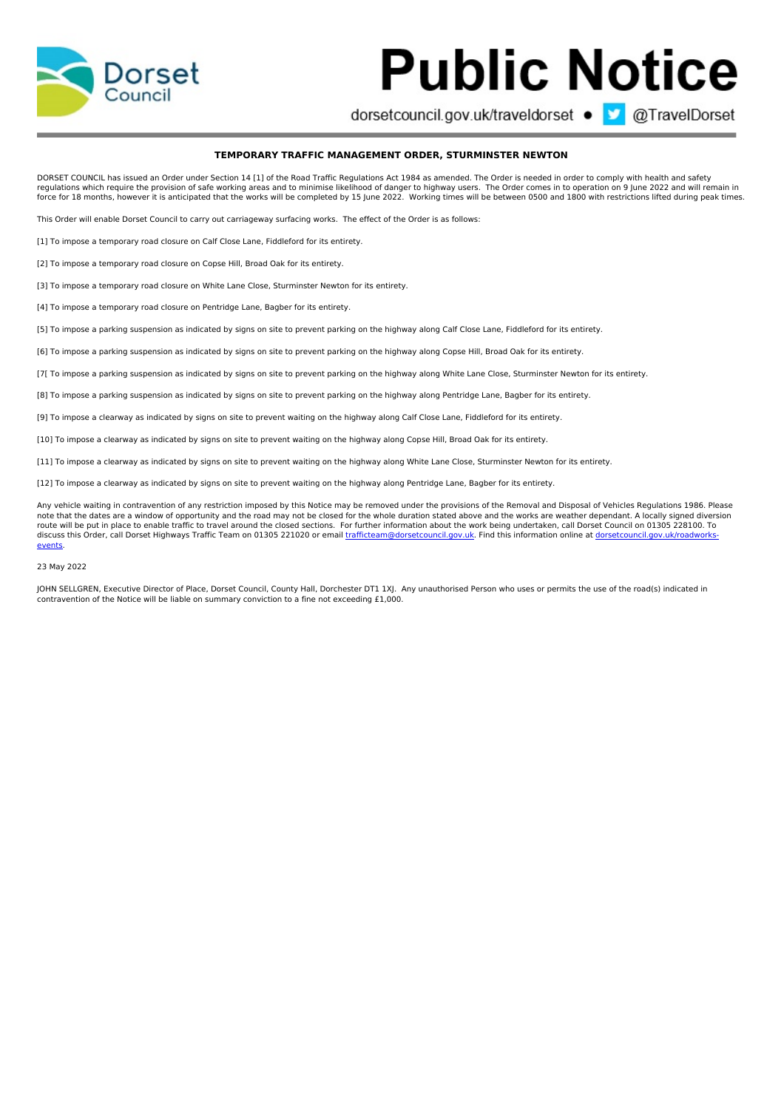

## **Public Notice**

dorsetcouncil.gov.uk/traveldorset ● 3 @TravelDorset

## **TEMPORARY TRAFFIC MANAGEMENT ORDER, STURMINSTER NEWTON**

DORSET COUNCIL has issued an Order under Section 14 [1] of the Road Traffic Regulations Act 1984 as amended. The Order is needed in order to comply with health and safety regulations which require the provision of safe working areas and to minimise likelihood of danger to highway users. The Order comes in to operation on 9 June 2022 and will remain in<br>force for 18 months, however it is anti

This Order will enable Dorset Council to carry out carriageway surfacing works. The effect of the Order is as follows:

[1] To impose a temporary road closure on Calf Close Lane, Fiddleford for its entirety.

[2] To impose a temporary road closure on Copse Hill, Broad Oak for its entirety.

[3] To impose a temporary road closure on White Lane Close, Sturminster Newton for its entirety.

[4] To impose a temporary road closure on Pentridge Lane, Bagber for its entirety.

[5] To impose a parking suspension as indicated by signs on site to prevent parking on the highway along Calf Close Lane, Fiddleford for its entirety.

[6] To impose a parking suspension as indicated by signs on site to prevent parking on the highway along Copse Hill, Broad Oak for its entirety.

[7[ To impose a parking suspension as indicated by signs on site to prevent parking on the highway along White Lane Close, Sturminster Newton for its entirety.

[8] To impose a parking suspension as indicated by signs on site to prevent parking on the highway along Pentridge Lane, Bagber for its entirety.

[9] To impose a clearway as indicated by signs on site to prevent waiting on the highway along Calf Close Lane, Fiddleford for its entirety.

[10] To impose a clearway as indicated by signs on site to prevent waiting on the highway along Copse Hill, Broad Oak for its entirety.

[11] To impose a clearway as indicated by signs on site to prevent waiting on the highway along White Lane Close, Sturminster Newton for its entirety.

[12] To impose a clearway as indicated by signs on site to prevent waiting on the highway along Pentridge Lane, Bagber for its entirety.

Any vehicle waiting in contravention of any restriction imposed by this Notice may be removed under the provisions of the Removal and Disposal of Vehicles Regulations 1986. Please note that the dates are a window of opportunity and the road may not be closed for the whole duration stated above and the works are weather dependant. A locally signed diversion<br>route will be put in place to enable traffi discuss this Order, call Dorset Highways Traffic Team on 01305 221020 or email [trafficteam@dorsetcouncil.gov.uk](mailto:trafficteam@dorsetcouncil.gov.uk)[.](http://dorsetcouncil.gov.uk/roadworks-events) Find this information online at dorsetcouncil.gov.uk/roadworksevents.

## 23 May 2022

JOHN SELLGREN, Executive Director of Place, Dorset Council, County Hall, Dorchester DT1 1XJ. Any unauthorised Person who uses or permits the use of the road(s) indicated in contravention of the Notice will be liable on summary conviction to a fine not exceeding £1,000.